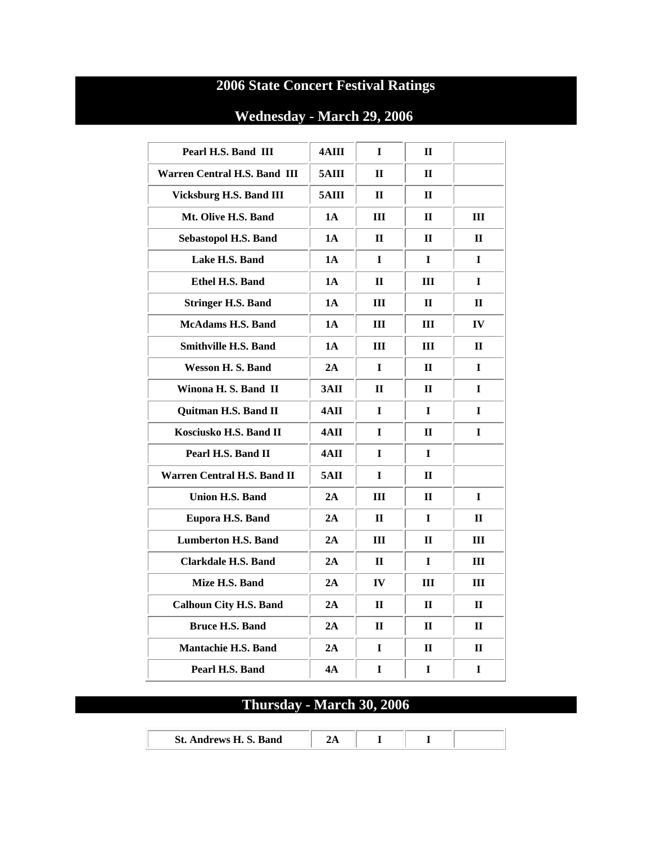## **2006 State Concert Festival Ratings**

## **Wednesday - March 29, 2006**

| Pearl H.S. Band III           | 4AIII     | I            | $\mathbf{I}$ |              |
|-------------------------------|-----------|--------------|--------------|--------------|
| Warren Central H.S. Band III  | 5AIII     | $\mathbf{H}$ | $\Pi$        |              |
| Vicksburg H.S. Band III       | 5AIII     | П            | $\Pi$        |              |
| Mt. Olive H.S. Band           | 1A        | Ш            | $\Pi$        | Ш            |
| Sebastopol H.S. Band          | 1A        | $\mathbf H$  | $\mathbf H$  | $\mathbf H$  |
| Lake H.S. Band                | 1A        | $\mathbf I$  | $\mathbf I$  | I            |
| Ethel H.S. Band               | 1A        | П            | Ш            | $\mathbf I$  |
| <b>Stringer H.S. Band</b>     | <b>1A</b> | Ш            | $\mathbf H$  | $\mathbf{I}$ |
| <b>McAdams H.S. Band</b>      | <b>1A</b> | Ш            | III          | IV           |
| <b>Smithville H.S. Band</b>   | 1A        | III          | III          | $\mathbf{I}$ |
| Wesson H.S. Band              | 2A        | L            | $\Pi$        | $\mathbf I$  |
| Winona H. S. Band II          | 3AII      | $\mathbf H$  | $\Pi$        | $\mathbf I$  |
| Quitman H.S. Band II          | 4AII      | L            | L            | L            |
| Kosciusko H.S. Band II        | 4AII      | I            | $\mathbf H$  | I            |
| Pearl H.S. Band II            | 4AII      | L            | L            |              |
| Warren Central H.S. Band II   | 5AII      | $\mathbf I$  | $\Pi$        |              |
| <b>Union H.S. Band</b>        | 2A        | Ш            | $\mathbf H$  | I            |
| Eupora H.S. Band              | 2A        | $\mathbf{H}$ | $\mathbf I$  | $\mathbf H$  |
| <b>Lumberton H.S. Band</b>    | 2A        | Ш            | $\mathbf H$  | Ш            |
| <b>Clarkdale H.S. Band</b>    | 2A        | $\mathbf{I}$ | $\bf{I}$     | Ш            |
| Mize H.S. Band                | 2A        | IV           | Ш            | Ш            |
| <b>Calhoun City H.S. Band</b> | 2A        | $\mathbf{I}$ | $\mathbf{H}$ | $\mathbf H$  |
| <b>Bruce H.S. Band</b>        | 2A        | $\mathbf{H}$ | $\mathbf H$  | $\mathbf H$  |
| <b>Mantachie H.S. Band</b>    | 2A        | 1            | $\mathbf H$  | $\mathbf{I}$ |
| Pearl H.S. Band               | 4А        | I            | I            | I            |

# **Thursday - March 30, 2006**

| St. Andrews H. S. Band |  |  |
|------------------------|--|--|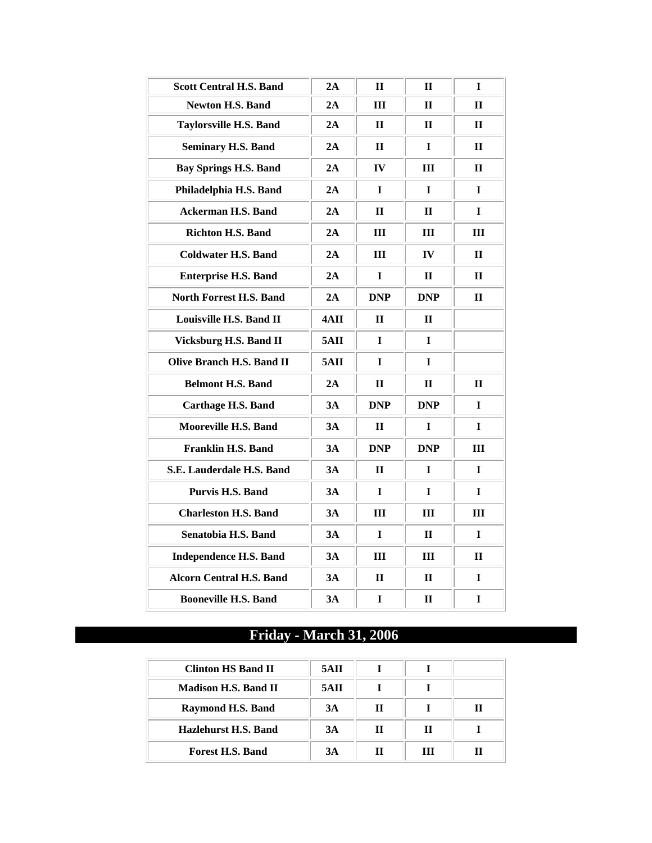| <b>Scott Central H.S. Band</b>   | 2A   | $\mathbf{I}$ | $\mathbf{I}$  | I            |
|----------------------------------|------|--------------|---------------|--------------|
| <b>Newton H.S. Band</b>          | 2A   | Ш            | $\mathbf H$   | $\mathbf H$  |
| <b>Taylorsville H.S. Band</b>    | 2A   | $\mathbf{I}$ | $\mathbf{I}$  | П            |
| <b>Seminary H.S. Band</b>        | 2A   | $\mathbf{I}$ | L             | П            |
| <b>Bay Springs H.S. Band</b>     | 2A   | IV           | Ш             | П            |
| Philadelphia H.S. Band           | 2A   | L            | $\mathbf{I}$  | L            |
| <b>Ackerman H.S. Band</b>        | 2A   | $\mathbf{I}$ | $\mathbf{H}$  | I            |
| Richton H.S. Band                | 2A   | Ш            | Ш             | Ш            |
| <b>Coldwater H.S. Band</b>       | 2A   | Ш            | $\mathbf{IV}$ | $\mathbf{H}$ |
| <b>Enterprise H.S. Band</b>      | 2A   | I            | П             | $\mathbf{I}$ |
| North Forrest H.S. Band          | 2A   | <b>DNP</b>   | <b>DNP</b>    | $\mathbf{H}$ |
| Louisville H.S. Band II          | 4AII | $\mathbf{I}$ | $\mathbf{I}$  |              |
| Vicksburg H.S. Band II           | 5AII | I            | I             |              |
| <b>Olive Branch H.S. Band II</b> | 5AII | I            | L             |              |
| <b>Belmont H.S. Band</b>         | 2A   | $\mathbf{I}$ | $\mathbf{H}$  | П            |
| <b>Carthage H.S. Band</b>        | 3A   | <b>DNP</b>   | <b>DNP</b>    | L            |
| <b>Mooreville H.S. Band</b>      | 3A   | $\mathbf{I}$ | I             | T            |
| <b>Franklin H.S. Band</b>        | 3A   | <b>DNP</b>   | <b>DNP</b>    | Ш            |
| S.E. Lauderdale H.S. Band        | 3A   | $\mathbf H$  | L             | L            |
| Purvis H.S. Band                 | 3A   | I            | L             | L            |
| <b>Charleston H.S. Band</b>      | 3A   | Ш            | Ш             | Ш            |
| Senatobia H.S. Band              | 3A   | L            | $\mathbf{H}$  | $\mathbf I$  |
| <b>Independence H.S. Band</b>    | 3A   | Ш            | Ш             | П            |
| <b>Alcorn Central H.S. Band</b>  | 3A   | $\mathbf{I}$ | $\mathbf H$   | I            |
| <b>Booneville H.S. Band</b>      | 3A   | I            | $\mathbf H$   | I            |

## **Friday - March 31, 2006**

| Clinton HS Band II          | 5ATI |   |   |   |
|-----------------------------|------|---|---|---|
| <b>Madison H.S. Band II</b> | 5AII |   |   |   |
| Raymond H.S. Band           | 3A   | п |   | ш |
| Hazlehurst H.S. Band        | 3A   | н | П |   |
| <b>Forest H.S. Band</b>     | 3A   |   | Ш |   |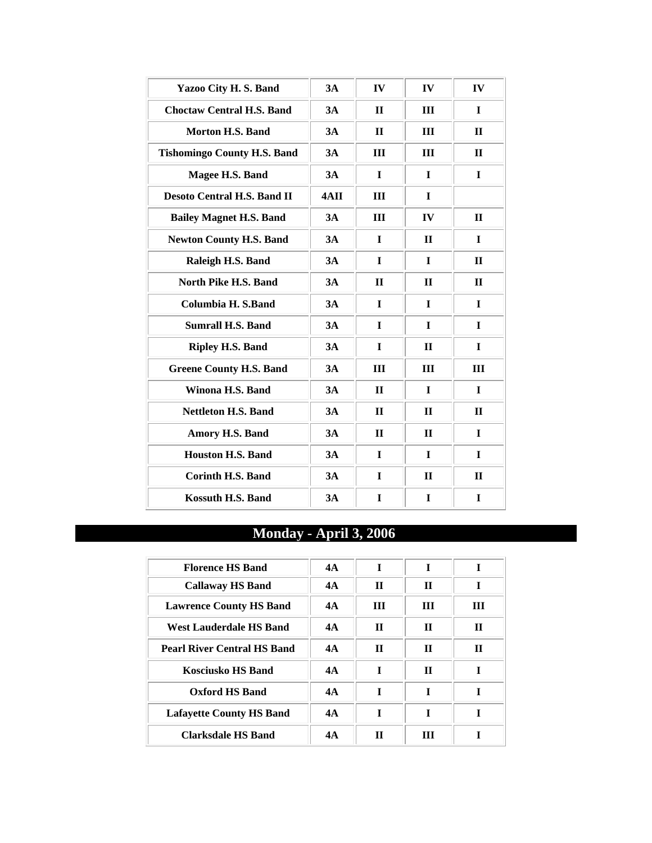| Yazoo City H.S. Band               | 3A   | IV           | IV           | IV           |
|------------------------------------|------|--------------|--------------|--------------|
| <b>Choctaw Central H.S. Band</b>   | 3A   | $\mathbf{I}$ | III          | $\mathbf I$  |
| <b>Morton H.S. Band</b>            | 3A   | $\mathbf{H}$ | Ш            | $\Pi$        |
| <b>Tishomingo County H.S. Band</b> | 3A   | III          | III          | $\Pi$        |
| Magee H.S. Band                    | 3A   | $\mathbf I$  | $\mathbf I$  | $\mathbf I$  |
| <b>Desoto Central H.S. Band II</b> | 4AII | III          | $\mathbf I$  |              |
| <b>Bailey Magnet H.S. Band</b>     | 3A   | III          | IV           | $\Pi$        |
| <b>Newton County H.S. Band</b>     | 3A   | I            | $\mathbf H$  | $\mathbf I$  |
| Raleigh H.S. Band                  | 3A   | $\mathbf I$  | $\mathbf I$  | $\mathbf{H}$ |
| North Pike H.S. Band               | 3A   | $\mathbf{I}$ | $\mathbf{I}$ | $\mathbf{H}$ |
| Columbia H. S.Band                 | 3A   | I            | L            | $\mathbf I$  |
| <b>Sumrall H.S. Band</b>           | 3A   | $\mathbf I$  | $\mathbf I$  | $\mathbf I$  |
| <b>Ripley H.S. Band</b>            | 3A   | $\mathbf{I}$ | $\Pi$        | $\mathbf I$  |
| <b>Greene County H.S. Band</b>     | 3A   | III          | III          | Ш            |
| Winona H.S. Band                   | 3A   | $\mathbf{H}$ | $\mathbf I$  | $\mathbf I$  |
| <b>Nettleton H.S. Band</b>         | 3A   | $\mathbf{H}$ | $\Pi$        | $\Pi$        |
| Amory H.S. Band                    | 3A   | $\mathbf{I}$ | $\mathbf{I}$ | $\mathbf I$  |
| <b>Houston H.S. Band</b>           | 3A   | $\mathbf I$  | $\mathbf I$  | $\mathbf I$  |
| <b>Corinth H.S. Band</b>           | 3A   | $\mathbf I$  | $\mathbf{H}$ | $\mathbf{I}$ |
| <b>Kossuth H.S. Band</b>           | 3A   | $\mathbf I$  | $\mathbf I$  | $\mathbf I$  |

# **Monday - April 3, 2006**

| <b>Florence HS Band</b>            | 4A | T | T           | T            |
|------------------------------------|----|---|-------------|--------------|
| <b>Callaway HS Band</b>            | 4A | Н | П           | T            |
| <b>Lawrence County HS Band</b>     | 4A | ш | Ш           | Ш            |
| West Lauderdale HS Band            | 4A | Н | П           | $\mathbf{H}$ |
| <b>Pearl River Central HS Band</b> | 4A | Н | П           | П            |
| <b>Kosciusko HS Band</b>           | 4A | T | $\mathbf H$ |              |
| Oxford HS Band                     | 4A | T | T           | T            |
| <b>Lafayette County HS Band</b>    | 4A | T | T           | T            |
| Clarksdale HS Band                 | 4A | Н | ш           |              |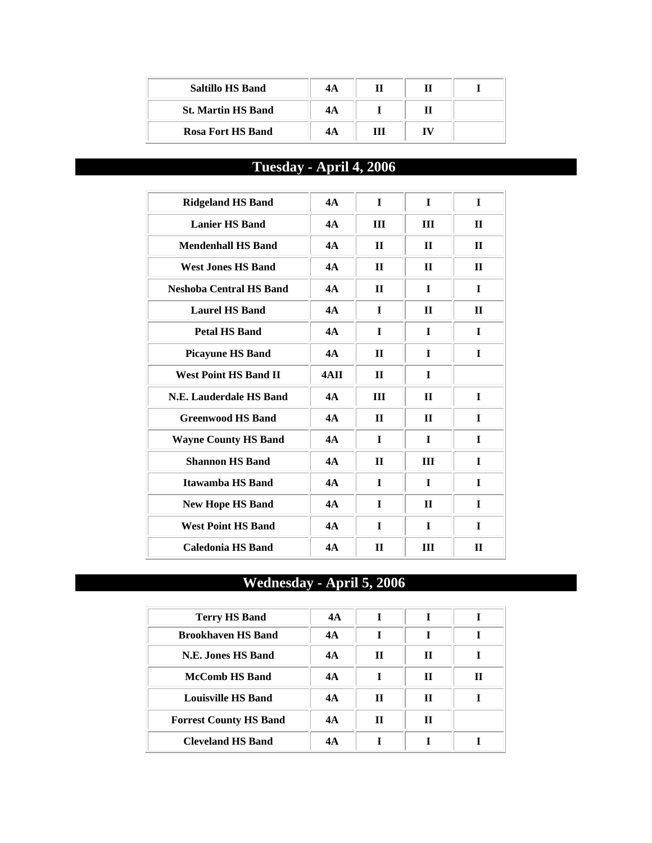| <b>Saltillo HS Band</b>   | 4A |  |  |
|---------------------------|----|--|--|
| <b>St. Martin HS Band</b> | 4A |  |  |
| <b>Rosa Fort HS Band</b>  | 4А |  |  |

# **Tuesday - April 4, 2006**

| <b>Ridgeland HS Band</b>       | 4A   | $\mathbf I$  | $\mathbf I$    | $\mathbf I$  |
|--------------------------------|------|--------------|----------------|--------------|
| <b>Lanier HS Band</b>          | 4A   | Ш            | $\mathbf{III}$ | $\mathbf{I}$ |
| <b>Mendenhall HS Band</b>      | 4A   | $\mathbf H$  | $\mathbf H$    | $\mathbf{I}$ |
| <b>West Jones HS Band</b>      | 4A   | $\mathbf{I}$ | $\mathbf{I}$   | $\mathbf{H}$ |
| <b>Neshoba Central HS Band</b> | 4A   | $\mathbf{H}$ | $\mathbf I$    | I            |
| <b>Laurel HS Band</b>          | 4A   | $\mathbf I$  | $\mathbf{I}$   | $\mathbf{I}$ |
| <b>Petal HS Band</b>           | 4A   | $\mathbf I$  | $\mathbf I$    | $\mathbf{I}$ |
| <b>Picayune HS Band</b>        | 4A   | $\mathbf{I}$ | L              | L            |
| <b>West Point HS Band II</b>   | 4AII | $\mathbf{H}$ | L              |              |
| N.E. Lauderdale HS Band        | 4A   | III          | $\mathbf{H}$   | I            |
| <b>Greenwood HS Band</b>       | 4A   | $\mathbf{I}$ | $\mathbf{I}$   | L            |
| <b>Wayne County HS Band</b>    | 4A   | $\mathbf I$  | $\mathbf I$    | $\mathbf I$  |
| <b>Shannon HS Band</b>         | 4A   | $\mathbf{I}$ | $\mathbf{III}$ | $\mathbf{I}$ |
| Itawamba HS Band               | 4A   | $\mathbf I$  | $\mathbf I$    | $\mathbf I$  |
| <b>New Hope HS Band</b>        | 4A   | $\mathbf I$  | $\mathbf{H}$   | $\mathbf{I}$ |
| <b>West Point HS Band</b>      | 4A   | $\mathbf I$  | $\mathbf I$    | L            |
| Caledonia HS Band              | 4A   | $\mathbf{H}$ | III            | $\mathbf{H}$ |

## **Wednesday - April 5, 2006**

| <b>Terry HS Band</b>          | 4A |   |   |   |
|-------------------------------|----|---|---|---|
| <b>Brookhaven HS Band</b>     | 4A |   |   |   |
| N.E. Jones HS Band            | 4A | п | П |   |
| <b>McComb HS Band</b>         | 4A |   | П | П |
| <b>Louisville HS Band</b>     | 4A | п | П |   |
| <b>Forrest County HS Band</b> | 4A | п | П |   |
| <b>Cleveland HS Band</b>      | 4А |   |   |   |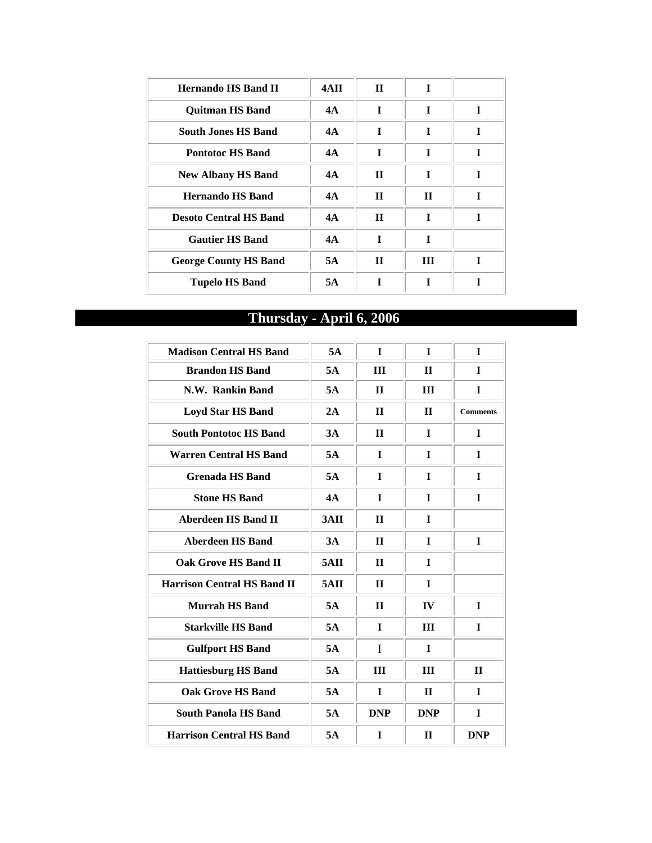| <b>Hernando HS Band II</b>    | 4AII | $\mathbf{H}$ | T           |   |
|-------------------------------|------|--------------|-------------|---|
| <b>Ouitman HS Band</b>        | 4A   | I            | I           | T |
| <b>South Jones HS Band</b>    | 4A   | T            | T           | T |
| <b>Pontotoc HS Band</b>       | 4A   | T            | T           | T |
| <b>New Albany HS Band</b>     | 4A   | $\mathbf{H}$ | I           | T |
| <b>Hernando HS Band</b>       | 4A   | $\mathbf H$  | $\mathbf H$ | T |
| <b>Desoto Central HS Band</b> | 4A   | $\mathbf{H}$ | T           | T |
| <b>Gautier HS Band</b>        | 4A   | T            | T           |   |
| <b>George County HS Band</b>  | 5A   | $\mathbf{H}$ | Ш           |   |
| <b>Tupelo HS Band</b>         | 5A   | T            |             |   |

# **Thursday - April 6, 2006**

| <b>Madison Central HS Band</b>     | 5A              | $\mathbf{I}$ | $\mathbf{I}$  | $\mathbf{I}$    |
|------------------------------------|-----------------|--------------|---------------|-----------------|
| <b>Brandon HS Band</b>             | 5A              | III          | $\Pi$         | $\mathbf{I}$    |
| N.W. Rankin Band                   | 5A              | $\mathbf{I}$ | III           | I               |
| <b>Loyd Star HS Band</b>           | 2A              | $\mathbf{I}$ | $\mathbf{H}$  | <b>Comments</b> |
| <b>South Pontotoc HS Band</b>      | 3A              | $\mathbf{I}$ | L             | $\mathbf I$     |
| <b>Warren Central HS Band</b>      | 5A              | I            | L             | I               |
| <b>Grenada HS Band</b>             | 5A              | $\mathbf I$  | L             | $\mathbf I$     |
| <b>Stone HS Band</b>               | 4A              | $\mathbf I$  | L             | L               |
| <b>Aberdeen HS Band II</b>         | 3 <sub>AI</sub> | $\mathbf{I}$ | L             |                 |
| <b>Aberdeen HS Band</b>            | 3A              | $\mathbf{I}$ | I             | I               |
| <b>Oak Grove HS Band II</b>        | 5AII            | $\mathbf{I}$ | I             |                 |
| <b>Harrison Central HS Band II</b> | 5AII            | $\mathbf{I}$ | L             |                 |
| <b>Murrah HS Band</b>              | 5A              | $\mathbf{H}$ | $\mathbf{IV}$ | $\mathbf I$     |
| <b>Starkville HS Band</b>          | 5A              | $\mathbf I$  | III           | I               |
| <b>Gulfport HS Band</b>            | 5A              | I            | $\mathbf{I}$  |                 |
| <b>Hattiesburg HS Band</b>         | 5A              | Ш            | III           | $\mathbf{H}$    |
| <b>Oak Grove HS Band</b>           | 5A              | $\mathbf I$  | $\mathbf{H}$  | $\mathbf I$     |
| <b>South Panola HS Band</b>        | 5A              | <b>DNP</b>   | <b>DNP</b>    | $\mathbf I$     |
| <b>Harrison Central HS Band</b>    | 5A              | L            | $\mathbf{H}$  | <b>DNP</b>      |